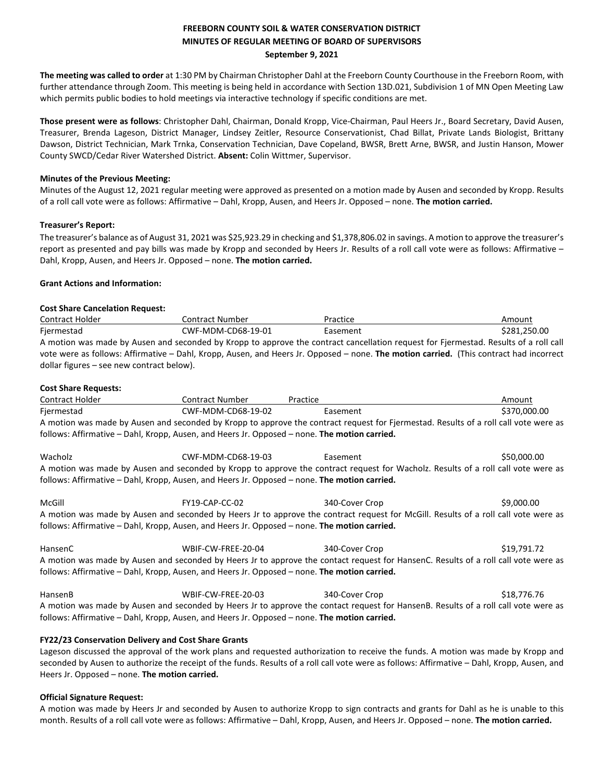# **FREEBORN COUNTY SOIL & WATER CONSERVATION DISTRICT MINUTES OF REGULAR MEETING OF BOARD OF SUPERVISORS September 9, 2021**

**The meeting was called to order** at 1:30 PM by Chairman Christopher Dahl at the Freeborn County Courthouse in the Freeborn Room, with further attendance through Zoom. This meeting is being held in accordance with Section 13D.021, Subdivision 1 of MN Open Meeting Law which permits public bodies to hold meetings via interactive technology if specific conditions are met.

**Those present were as follows**: Christopher Dahl, Chairman, Donald Kropp, Vice-Chairman, Paul Heers Jr., Board Secretary, David Ausen, Treasurer, Brenda Lageson, District Manager, Lindsey Zeitler, Resource Conservationist, Chad Billat, Private Lands Biologist, Brittany Dawson, District Technician, Mark Trnka, Conservation Technician, Dave Copeland, BWSR, Brett Arne, BWSR, and Justin Hanson, Mower County SWCD/Cedar River Watershed District. **Absent:** Colin Wittmer, Supervisor.

### **Minutes of the Previous Meeting:**

Minutes of the August 12, 2021 regular meeting were approved as presented on a motion made by Ausen and seconded by Kropp. Results of a roll call vote were as follows: Affirmative – Dahl, Kropp, Ausen, and Heers Jr. Opposed – none. **The motion carried.** 

### **Treasurer's Report:**

The treasurer's balance as of August 31, 2021 was \$25,923.29 in checking and \$1,378,806.02 in savings. A motion to approve the treasurer's report as presented and pay bills was made by Kropp and seconded by Heers Jr. Results of a roll call vote were as follows: Affirmative – Dahl, Kropp, Ausen, and Heers Jr. Opposed – none. **The motion carried.** 

### **Grant Actions and Information:**

# **Cost Share Cancelation Request:**

| Contract Holder                                                                                                                      | Contract Number                                                                                                                               | Practice | Amount       |  |  |
|--------------------------------------------------------------------------------------------------------------------------------------|-----------------------------------------------------------------------------------------------------------------------------------------------|----------|--------------|--|--|
| Fiermestad                                                                                                                           | CWF-MDM-CD68-19-01                                                                                                                            | Easement | \$281.250.00 |  |  |
| A motion was made by Ausen and seconded by Kropp to approve the contract cancellation request for Fiermestad. Results of a roll call |                                                                                                                                               |          |              |  |  |
|                                                                                                                                      | vote were as follows: Affirmative – Dahl, Kropp, Ausen, and Heers Jr. Opposed – none. <b>The motion carried.</b> (This contract had incorrect |          |              |  |  |
| dollar figures – see new contract below).                                                                                            |                                                                                                                                               |          |              |  |  |

### **Cost Share Requests:**

| Contract Holder                                                                                                                     | Contract Number    | Practice                                                                                                                             | Amount       |  |  |
|-------------------------------------------------------------------------------------------------------------------------------------|--------------------|--------------------------------------------------------------------------------------------------------------------------------------|--------------|--|--|
| Fjermestad                                                                                                                          | CWF-MDM-CD68-19-02 | Easement                                                                                                                             | \$370,000.00 |  |  |
|                                                                                                                                     |                    | A motion was made by Ausen and seconded by Kropp to approve the contract request for Fjermestad. Results of a roll call vote were as |              |  |  |
| follows: Affirmative - Dahl, Kropp, Ausen, and Heers Jr. Opposed - none. The motion carried.                                        |                    |                                                                                                                                      |              |  |  |
| Wacholz                                                                                                                             | CWF-MDM-CD68-19-03 | Easement                                                                                                                             | \$50,000.00  |  |  |
|                                                                                                                                     |                    | A motion was made by Ausen and seconded by Kropp to approve the contract request for Wacholz. Results of a roll call vote were as    |              |  |  |
| follows: Affirmative – Dahl, Kropp, Ausen, and Heers Jr. Opposed – none. The motion carried.                                        |                    |                                                                                                                                      |              |  |  |
| McGill                                                                                                                              | FY19-CAP-CC-02     | 340-Cover Crop                                                                                                                       | \$9,000.00   |  |  |
|                                                                                                                                     |                    | A motion was made by Ausen and seconded by Heers Jr to approve the contract request for McGill. Results of a roll call vote were as  |              |  |  |
| follows: Affirmative – Dahl, Kropp, Ausen, and Heers Jr. Opposed – none. The motion carried.                                        |                    |                                                                                                                                      |              |  |  |
| HansenC                                                                                                                             | WBIF-CW-FREE-20-04 | 340-Cover Crop                                                                                                                       | \$19,791.72  |  |  |
| A motion was made by Ausen and seconded by Heers Jr to approve the contact request for HansenC. Results of a roll call vote were as |                    |                                                                                                                                      |              |  |  |
| follows: Affirmative – Dahl, Kropp, Ausen, and Heers Jr. Opposed – none. The motion carried.                                        |                    |                                                                                                                                      |              |  |  |
| HansenB                                                                                                                             | WBIF-CW-FREE-20-03 | 340-Cover Crop                                                                                                                       | \$18,776.76  |  |  |
| A motion was made by Ausen and seconded by Heers Jr to approve the contact request for HansenB. Results of a roll call vote were as |                    |                                                                                                                                      |              |  |  |
| follows: Affirmative – Dahl, Kropp, Ausen, and Heers Jr. Opposed – none. The motion carried.                                        |                    |                                                                                                                                      |              |  |  |

### **FY22/23 Conservation Delivery and Cost Share Grants**

Lageson discussed the approval of the work plans and requested authorization to receive the funds. A motion was made by Kropp and seconded by Ausen to authorize the receipt of the funds. Results of a roll call vote were as follows: Affirmative – Dahl, Kropp, Ausen, and Heers Jr. Opposed – none. **The motion carried.**

### **Official Signature Request:**

A motion was made by Heers Jr and seconded by Ausen to authorize Kropp to sign contracts and grants for Dahl as he is unable to this month. Results of a roll call vote were as follows: Affirmative – Dahl, Kropp, Ausen, and Heers Jr. Opposed – none. **The motion carried.**